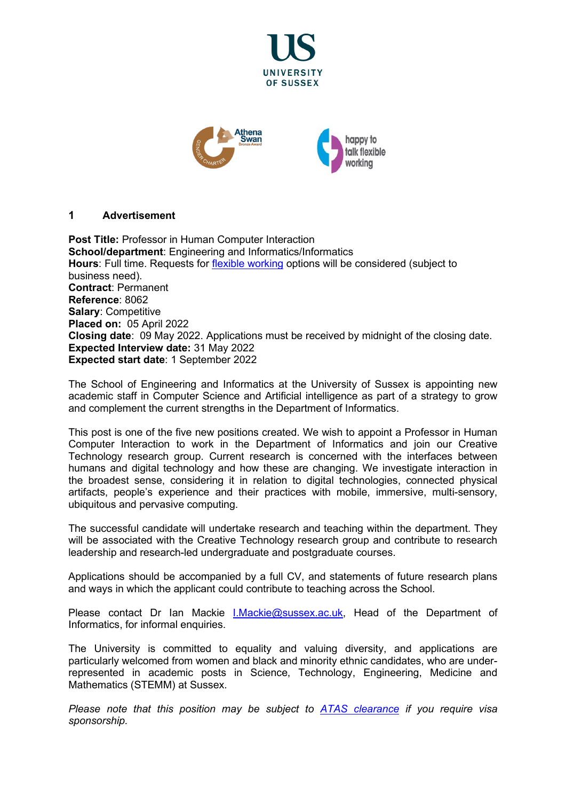



# **1 Advertisement**

**Post Title:** Professor in Human Computer Interaction **School/department**: Engineering and Informatics/Informatics **Hours**: Full time. Requests for [flexible working](http://www.sussex.ac.uk/humanresources/personnel/flexible-working) options will be considered (subject to business need). **Contract**: Permanent **Reference**: 8062 **Salary**: Competitive **Placed on:** 05 April 2022 **Closing date**: 09 May 2022. Applications must be received by midnight of the closing date. **Expected Interview date:** 31 May 2022 **Expected start date**: 1 September 2022

The School of Engineering and Informatics at the University of Sussex is appointing new academic staff in Computer Science and Artificial intelligence as part of a strategy to grow and complement the current strengths in the Department of Informatics.

This post is one of the five new positions created. We wish to appoint a Professor in Human Computer Interaction to work in the Department of Informatics and join our Creative Technology research group. Current research is concerned with the interfaces between humans and digital technology and how these are changing. We investigate interaction in the broadest sense, considering it in relation to digital technologies, connected physical artifacts, people's experience and their practices with mobile, immersive, multi-sensory, ubiquitous and pervasive computing.

The successful candidate will undertake research and teaching within the department. They will be associated with the Creative Technology research group and contribute to research leadership and research-led undergraduate and postgraduate courses.

Applications should be accompanied by a full CV, and statements of future research plans and ways in which the applicant could contribute to teaching across the School.

Please contact Dr Ian Mackie [I.Mackie@sussex.ac.uk,](mailto:I.Mackie@sussex.ac.uk) Head of the Department of Informatics, for informal enquiries.

The University is committed to equality and valuing diversity, and applications are particularly welcomed from women and black and minority ethnic candidates, who are underrepresented in academic posts in Science, Technology, Engineering, Medicine and Mathematics (STEMM) at Sussex.

*Please note that this position may be subject to [ATAS clearance](https://www.gov.uk/guidance/academic-technology-approval-scheme) if you require visa sponsorship.*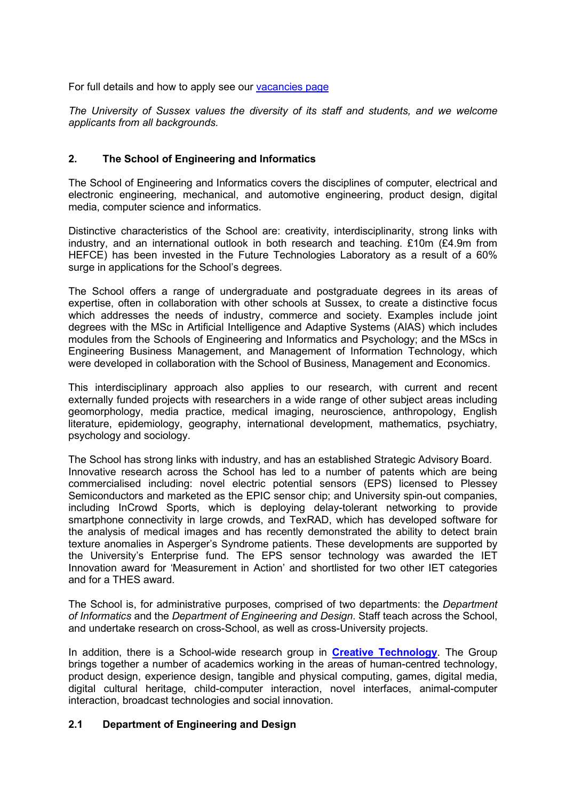For full details and how to apply see our [vacancies page](http://www.sussex.ac.uk/about/jobs)

*The University of Sussex values the diversity of its staff and students, and we welcome applicants from all backgrounds.*

# **2. The School of Engineering and Informatics**

The School of Engineering and Informatics covers the disciplines of computer, electrical and electronic engineering, mechanical, and automotive engineering, product design, digital media, computer science and informatics.

Distinctive characteristics of the School are: creativity, interdisciplinarity, strong links with industry, and an international outlook in both research and teaching. £10m (£4.9m from HEFCE) has been invested in the Future Technologies Laboratory as a result of a 60% surge in applications for the School's degrees.

The School offers a range of undergraduate and postgraduate degrees in its areas of expertise, often in collaboration with other schools at Sussex, to create a distinctive focus which addresses the needs of industry, commerce and society. Examples include joint degrees with the MSc in Artificial Intelligence and Adaptive Systems (AIAS) which includes modules from the Schools of Engineering and Informatics and Psychology; and the MScs in Engineering Business Management, and Management of Information Technology, which were developed in collaboration with the School of Business, Management and Economics.

This interdisciplinary approach also applies to our research, with current and recent externally funded projects with researchers in a wide range of other subject areas including geomorphology, media practice, medical imaging, neuroscience, anthropology, English literature, epidemiology, geography, international development, mathematics, psychiatry, psychology and sociology.

The School has strong links with industry, and has an established Strategic Advisory Board. Innovative research across the School has led to a number of patents which are being commercialised including: novel electric potential sensors (EPS) licensed to Plessey Semiconductors and marketed as the EPIC sensor chip; and University spin-out companies, including InCrowd Sports, which is deploying delay-tolerant networking to provide smartphone connectivity in large crowds, and TexRAD, which has developed software for the analysis of medical images and has recently demonstrated the ability to detect brain texture anomalies in Asperger's Syndrome patients. These developments are supported by the University's Enterprise fund. The EPS sensor technology was awarded the IET Innovation award for 'Measurement in Action' and shortlisted for two other IET categories and for a THES award.

The School is, for administrative purposes, comprised of two departments: the *Department of Informatics* and the *Department of Engineering and Design*. Staff teach across the School, and undertake research on cross-School, as well as cross-University projects.

In addition, there is a School-wide research group in **[Creative Technology](http://www.sussex.ac.uk/creativetechnology/index)**. The Group brings together a number of academics working in the areas of human-centred technology, product design, experience design, tangible and physical computing, games, digital media, digital cultural heritage, child-computer interaction, novel interfaces, animal-computer interaction, broadcast technologies and social innovation.

# **2.1 Department of Engineering and Design**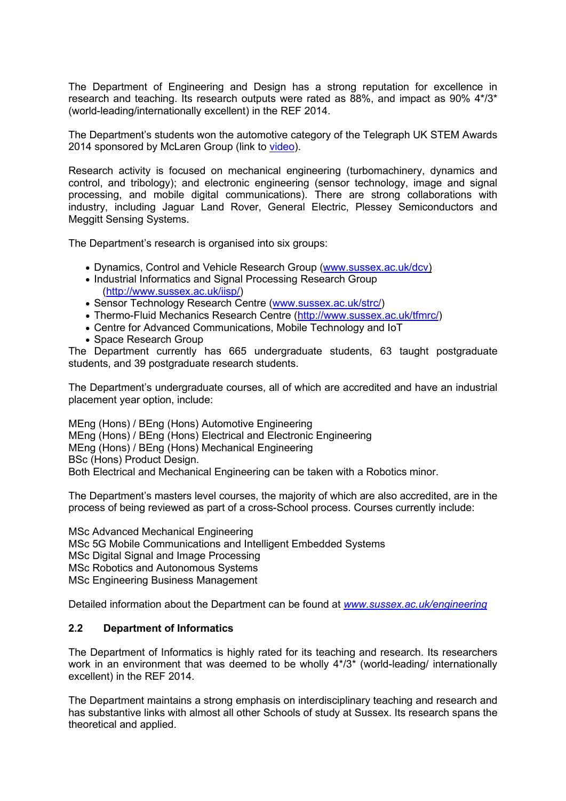The Department of Engineering and Design has a strong reputation for excellence in research and teaching. Its research outputs were rated as 88%, and impact as 90% 4\*/3\* (world-leading/internationally excellent) in the REF 2014.

The Department's students won the automotive category of the Telegraph UK STEM Awards 2014 sponsored by McLaren Group (link to [video\)](http://www.youtube.com/watch?v=aADNAPCNWcs&feature=youtu.be).

Research activity is focused on mechanical engineering (turbomachinery, dynamics and control, and tribology); and electronic engineering (sensor technology, image and signal processing, and mobile digital communications). There are strong collaborations with industry, including Jaguar Land Rover, General Electric, Plessey Semiconductors and Meggitt Sensing Systems.

The Department's research is organised into six groups:

- Dynamics, Control and Vehicle Research Group [\(www.sussex.ac.uk/dcv\)](http://www.sussex.ac.uk/dcv)
- Industrial Informatics and Signal Processing Research Group [\(http://www.sussex.ac.uk/iisp/\)](http://www.sussex.ac.uk/iisp/)
- Sensor Technology Research Centre [\(www.sussex.ac.uk/strc/\)](http://www.sussex.ac.uk/strc/)
- Thermo-Fluid Mechanics Research Centre [\(http://www.sussex.ac.uk/tfmrc/\)](http://www.sussex.ac.uk/tfmrc/)
- Centre for Advanced Communications, Mobile Technology and IoT
- Space Research Group

The Department currently has 665 undergraduate students, 63 taught postgraduate students, and 39 postgraduate research students.

The Department's undergraduate courses, all of which are accredited and have an industrial placement year option, include:

MEng (Hons) / BEng (Hons) Automotive Engineering MEng (Hons) / BEng (Hons) Electrical and Electronic Engineering MEng (Hons) / BEng (Hons) Mechanical Engineering BSc (Hons) Product Design. Both Electrical and Mechanical Engineering can be taken with a Robotics minor.

The Department's masters level courses, the majority of which are also accredited, are in the process of being reviewed as part of a cross-School process. Courses currently include:

MSc Advanced Mechanical Engineering MSc 5G Mobile Communications and Intelligent Embedded Systems MSc Digital Signal and Image Processing MSc Robotics and Autonomous Systems MSc Engineering Business Management

Detailed information about the Department can be found at *[www.sussex.ac.uk/engineering](http://www.sussex.ac.uk/engineering)*

# **2.2 Department of Informatics**

The Department of Informatics is highly rated for its teaching and research. Its researchers work in an environment that was deemed to be wholly 4\*/3\* (world-leading/ internationally excellent) in the REF 2014.

The Department maintains a strong emphasis on interdisciplinary teaching and research and has substantive links with almost all other Schools of study at Sussex. Its research spans the theoretical and applied.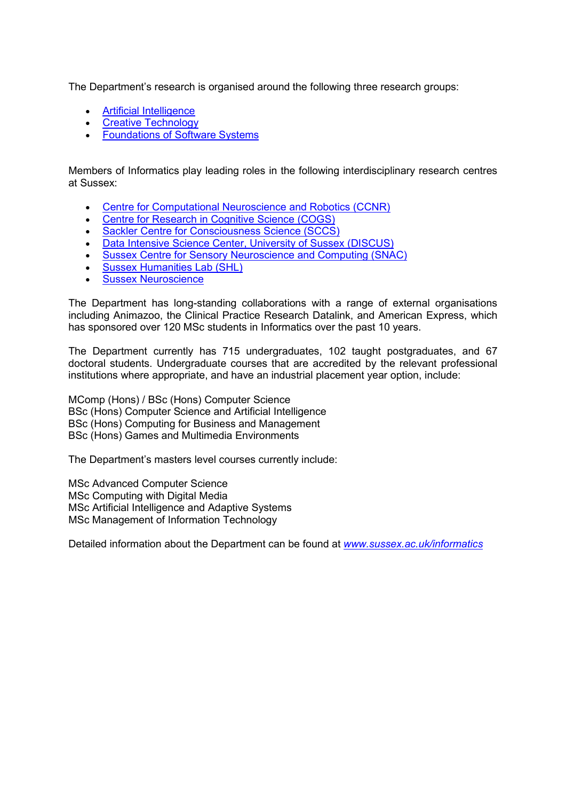The Department's research is organised around the following three research groups:

- [Artificial Intelligence](https://www.sussex.ac.uk/research/centres/ai-research-group/)
- [Creative Technology](http://www.sussex.ac.uk/creativetechnology/)
- [Foundations of Software Systems](http://www.sussex.ac.uk/foss/)

Members of Informatics play leading roles in the following interdisciplinary research centres at Sussex:

- Centre for Computational [Neuroscience and Robotics \(CCNR\)](http://www.sussex.ac.uk/ccnr/)
- [Centre for Research in Cognitive Science \(COGS\)](http://www.sussex.ac.uk/cogs/)
- [Sackler Centre for Consciousness Science \(SCCS\)](http://www.sussex.ac.uk/sackler/)
- [Data Intensive Science Center, University of Sussex \(DISCUS\)](https://www.sussex.ac.uk/discus/)
- [Sussex Centre for Sensory Neuroscience and Computing](https://scsnac.org/) (SNAC)
- [Sussex Humanities Lab \(SHL\)](https://www.sussex.ac.uk/research/centres/sussex-humanities-lab/)
- [Sussex Neuroscience](http://www.sussex.ac.uk/sussexneuroscience/)

The Department has long-standing collaborations with a range of external organisations including Animazoo, the Clinical Practice Research Datalink, and American Express, which has sponsored over 120 MSc students in Informatics over the past 10 years.

The Department currently has 715 undergraduates, 102 taught postgraduates, and 67 doctoral students. Undergraduate courses that are accredited by the relevant professional institutions where appropriate, and have an industrial placement year option, include:

MComp (Hons) / BSc (Hons) Computer Science BSc (Hons) Computer Science and Artificial Intelligence BSc (Hons) Computing for Business and Management BSc (Hons) Games and Multimedia Environments

The Department's masters level courses currently include:

MSc Advanced Computer Science MSc Computing with Digital Media MSc Artificial Intelligence and Adaptive Systems MSc Management of Information Technology

Detailed information about the Department can be found at *[www.sussex.ac.uk/informatics](http://www.sussex.ac.uk/informatics)*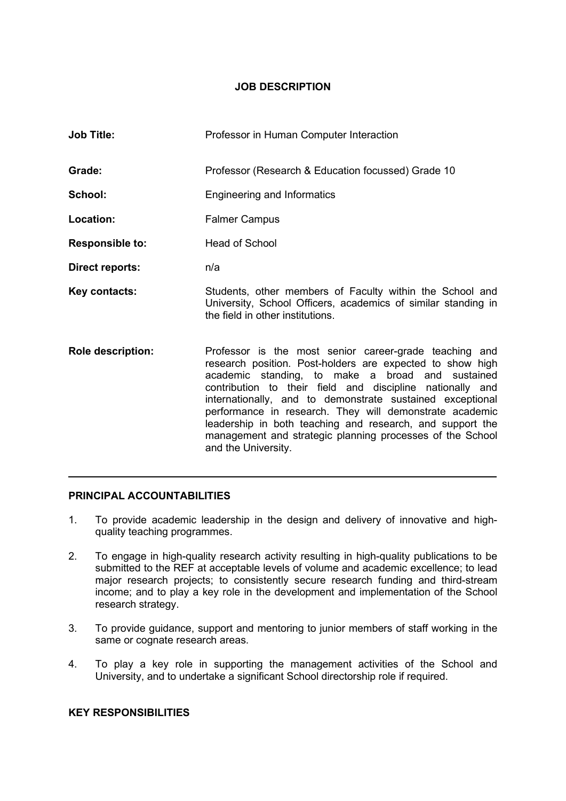# **JOB DESCRIPTION**

| <b>Job Title:</b>        | Professor in Human Computer Interaction                                                                                                                                                                                                                                                                                                                                                                                                                                                                       |
|--------------------------|---------------------------------------------------------------------------------------------------------------------------------------------------------------------------------------------------------------------------------------------------------------------------------------------------------------------------------------------------------------------------------------------------------------------------------------------------------------------------------------------------------------|
| Grade:                   | Professor (Research & Education focussed) Grade 10                                                                                                                                                                                                                                                                                                                                                                                                                                                            |
| School:                  | <b>Engineering and Informatics</b>                                                                                                                                                                                                                                                                                                                                                                                                                                                                            |
| Location:                | <b>Falmer Campus</b>                                                                                                                                                                                                                                                                                                                                                                                                                                                                                          |
| <b>Responsible to:</b>   | <b>Head of School</b>                                                                                                                                                                                                                                                                                                                                                                                                                                                                                         |
| Direct reports:          | n/a                                                                                                                                                                                                                                                                                                                                                                                                                                                                                                           |
| Key contacts:            | Students, other members of Faculty within the School and<br>University, School Officers, academics of similar standing in<br>the field in other institutions.                                                                                                                                                                                                                                                                                                                                                 |
| <b>Role description:</b> | Professor is the most senior career-grade teaching and<br>research position. Post-holders are expected to show high<br>academic standing, to make a broad and sustained<br>contribution to their field and discipline nationally and<br>internationally, and to demonstrate sustained exceptional<br>performance in research. They will demonstrate academic<br>leadership in both teaching and research, and support the<br>management and strategic planning processes of the School<br>and the University. |

# **PRINCIPAL ACCOUNTABILITIES**

1. To provide academic leadership in the design and delivery of innovative and highquality teaching programmes.

 $\mathcal{L}=\mathcal{L}=\mathcal{L}=\mathcal{L}=\mathcal{L}=\mathcal{L}=\mathcal{L}=\mathcal{L}=\mathcal{L}=\mathcal{L}=\mathcal{L}=\mathcal{L}=\mathcal{L}=\mathcal{L}=\mathcal{L}=\mathcal{L}=\mathcal{L}=\mathcal{L}=\mathcal{L}=\mathcal{L}=\mathcal{L}=\mathcal{L}=\mathcal{L}=\mathcal{L}=\mathcal{L}=\mathcal{L}=\mathcal{L}=\mathcal{L}=\mathcal{L}=\mathcal{L}=\mathcal{L}=\mathcal{L}=\mathcal{L}=\mathcal{L}=\mathcal{L}=\mathcal{L}=\mathcal{$ 

- 2. To engage in high-quality research activity resulting in high-quality publications to be submitted to the REF at acceptable levels of volume and academic excellence; to lead major research projects; to consistently secure research funding and third-stream income; and to play a key role in the development and implementation of the School research strategy.
- 3. To provide guidance, support and mentoring to junior members of staff working in the same or cognate research areas.
- 4. To play a key role in supporting the management activities of the School and University, and to undertake a significant School directorship role if required.

# **KEY RESPONSIBILITIES**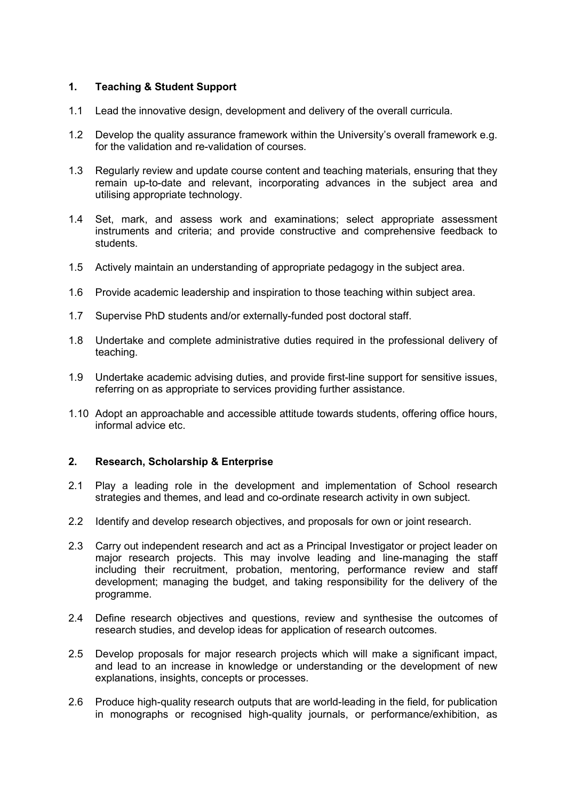# **1. Teaching & Student Support**

- 1.1 Lead the innovative design, development and delivery of the overall curricula.
- 1.2 Develop the quality assurance framework within the University's overall framework e.g. for the validation and re-validation of courses.
- 1.3 Regularly review and update course content and teaching materials, ensuring that they remain up-to-date and relevant, incorporating advances in the subject area and utilising appropriate technology.
- 1.4 Set, mark, and assess work and examinations; select appropriate assessment instruments and criteria; and provide constructive and comprehensive feedback to students.
- 1.5 Actively maintain an understanding of appropriate pedagogy in the subject area.
- 1.6 Provide academic leadership and inspiration to those teaching within subject area.
- 1.7 Supervise PhD students and/or externally-funded post doctoral staff.
- 1.8 Undertake and complete administrative duties required in the professional delivery of teaching.
- 1.9 Undertake academic advising duties, and provide first-line support for sensitive issues, referring on as appropriate to services providing further assistance.
- 1.10 Adopt an approachable and accessible attitude towards students, offering office hours, informal advice etc.

# **2. Research, Scholarship & Enterprise**

- 2.1 Play a leading role in the development and implementation of School research strategies and themes, and lead and co-ordinate research activity in own subject.
- 2.2 Identify and develop research objectives, and proposals for own or joint research.
- 2.3 Carry out independent research and act as a Principal Investigator or project leader on major research projects. This may involve leading and line-managing the staff including their recruitment, probation, mentoring, performance review and staff development; managing the budget, and taking responsibility for the delivery of the programme.
- 2.4 Define research objectives and questions, review and synthesise the outcomes of research studies, and develop ideas for application of research outcomes.
- 2.5 Develop proposals for major research projects which will make a significant impact, and lead to an increase in knowledge or understanding or the development of new explanations, insights, concepts or processes.
- 2.6 Produce high-quality research outputs that are world-leading in the field, for publication in monographs or recognised high-quality journals, or performance/exhibition, as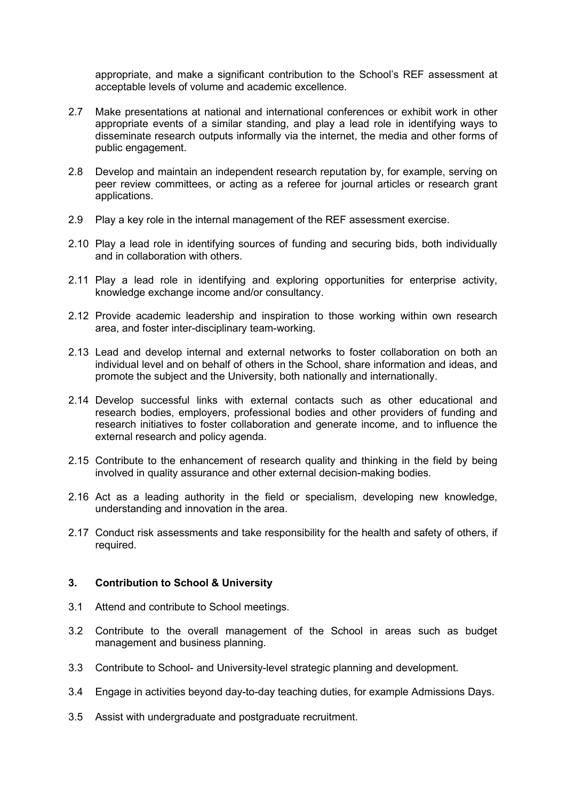appropriate, and make a significant contribution to the School's REF assessment at acceptable levels of volume and academic excellence.

- 2.7 Make presentations at national and international conferences or exhibit work in other appropriate events of a similar standing, and play a lead role in identifying ways to disseminate research outputs informally via the internet, the media and other forms of public engagement.
- 2.8 Develop and maintain an independent research reputation by, for example, serving on peer review committees, or acting as a referee for journal articles or research grant applications.
- 2.9 Play a key role in the internal management of the REF assessment exercise.
- 2.10 Play a lead role in identifying sources of funding and securing bids, both individually and in collaboration with others.
- 2.11 Play a lead role in identifying and exploring opportunities for enterprise activity, knowledge exchange income and/or consultancy.
- 2.12 Provide academic leadership and inspiration to those working within own research area, and foster inter-disciplinary team-working.
- 2.13 Lead and develop internal and external networks to foster collaboration on both an individual level and on behalf of others in the School, share information and ideas, and promote the subject and the University, both nationally and internationally.
- 2.14 Develop successful links with external contacts such as other educational and research bodies, employers, professional bodies and other providers of funding and research initiatives to foster collaboration and generate income, and to influence the external research and policy agenda.
- 2.15 Contribute to the enhancement of research quality and thinking in the field by being involved in quality assurance and other external decision-making bodies.
- 2.16 Act as a leading authority in the field or specialism, developing new knowledge, understanding and innovation in the area.
- 2.17 Conduct risk assessments and take responsibility for the health and safety of others, if required.

#### **3. Contribution to School & University**

- 3.1 Attend and contribute to School meetings.
- 3.2 Contribute to the overall management of the School in areas such as budget management and business planning.
- 3.3 Contribute to School- and University-level strategic planning and development.
- 3.4 Engage in activities beyond day-to-day teaching duties, for example Admissions Days.
- 3.5 Assist with undergraduate and postgraduate recruitment.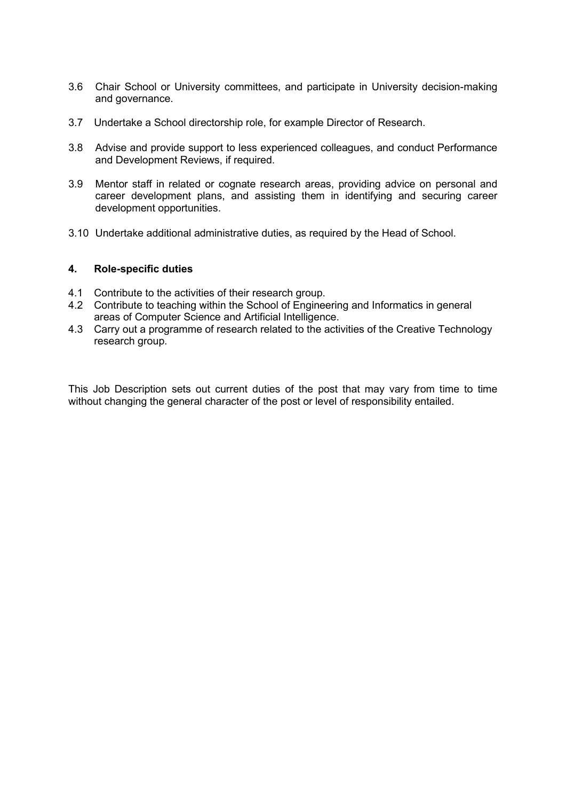- 3.6 Chair School or University committees, and participate in University decision-making and governance.
- 3.7 Undertake a School directorship role, for example Director of Research.
- 3.8 Advise and provide support to less experienced colleagues, and conduct Performance and Development Reviews, if required.
- 3.9 Mentor staff in related or cognate research areas, providing advice on personal and career development plans, and assisting them in identifying and securing career development opportunities.
- 3.10 Undertake additional administrative duties, as required by the Head of School.

#### **4. Role-specific duties**

- 4.1 Contribute to the activities of their research group.
- 4.2 Contribute to teaching within the School of Engineering and Informatics in general areas of Computer Science and Artificial Intelligence.
- 4.3 Carry out a programme of research related to the activities of the Creative Technology research group.

This Job Description sets out current duties of the post that may vary from time to time without changing the general character of the post or level of responsibility entailed.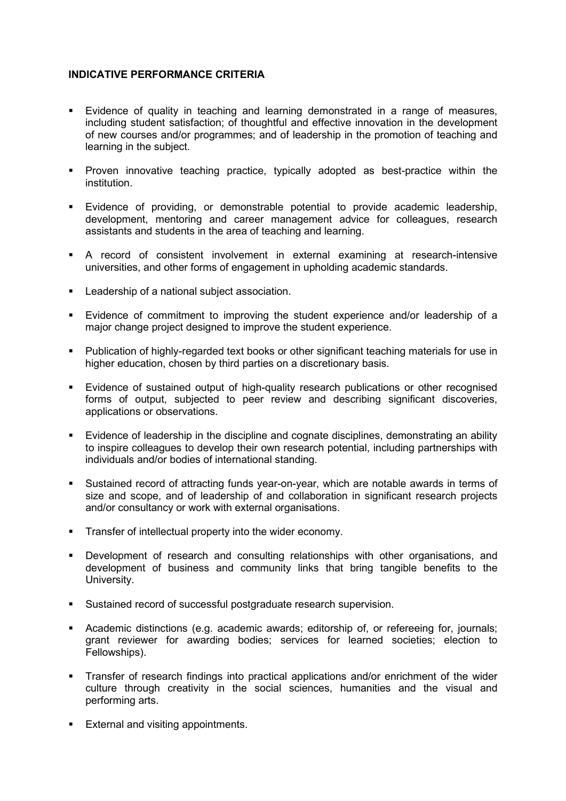# **INDICATIVE PERFORMANCE CRITERIA**

- Evidence of quality in teaching and learning demonstrated in a range of measures, including student satisfaction; of thoughtful and effective innovation in the development of new courses and/or programmes; and of leadership in the promotion of teaching and learning in the subject.
- **Proven innovative teaching practice, typically adopted as best-practice within the** institution.
- Evidence of providing, or demonstrable potential to provide academic leadership, development, mentoring and career management advice for colleagues, research assistants and students in the area of teaching and learning.
- A record of consistent involvement in external examining at research-intensive universities, and other forms of engagement in upholding academic standards.
- **Leadership of a national subject association.**
- Evidence of commitment to improving the student experience and/or leadership of a major change project designed to improve the student experience.
- **Publication of highly-regarded text books or other significant teaching materials for use in** higher education, chosen by third parties on a discretionary basis.
- **Evidence of sustained output of high-quality research publications or other recognised** forms of output, subjected to peer review and describing significant discoveries, applications or observations.
- Evidence of leadership in the discipline and cognate disciplines, demonstrating an ability to inspire colleagues to develop their own research potential, including partnerships with individuals and/or bodies of international standing.
- Sustained record of attracting funds year-on-year, which are notable awards in terms of size and scope, and of leadership of and collaboration in significant research projects and/or consultancy or work with external organisations.
- Transfer of intellectual property into the wider economy.
- Development of research and consulting relationships with other organisations, and development of business and community links that bring tangible benefits to the University.
- Sustained record of successful postgraduate research supervision.
- Academic distinctions (e.g. academic awards; editorship of, or refereeing for, journals; grant reviewer for awarding bodies; services for learned societies; election to Fellowships).
- **Transfer of research findings into practical applications and/or enrichment of the wider** culture through creativity in the social sciences, humanities and the visual and performing arts.
- **External and visiting appointments.**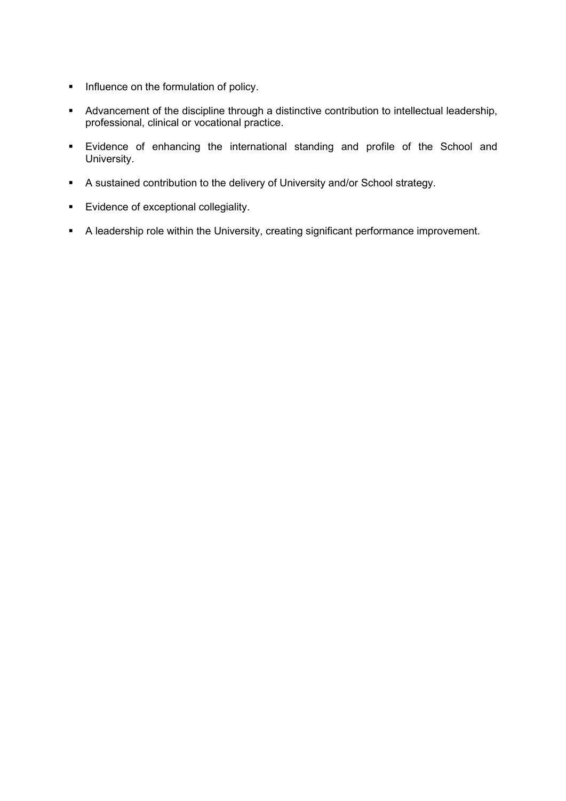- **Influence on the formulation of policy.**
- Advancement of the discipline through a distinctive contribution to intellectual leadership, professional, clinical or vocational practice.
- Evidence of enhancing the international standing and profile of the School and University.
- A sustained contribution to the delivery of University and/or School strategy.
- **Evidence of exceptional collegiality.**
- A leadership role within the University, creating significant performance improvement.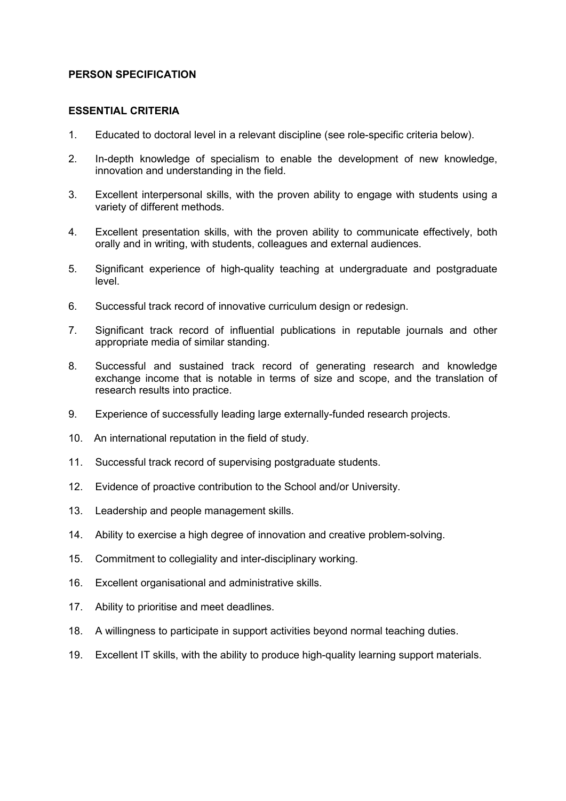### **PERSON SPECIFICATION**

#### **ESSENTIAL CRITERIA**

- 1. Educated to doctoral level in a relevant discipline (see role-specific criteria below).
- 2. In-depth knowledge of specialism to enable the development of new knowledge, innovation and understanding in the field.
- 3. Excellent interpersonal skills, with the proven ability to engage with students using a variety of different methods.
- 4. Excellent presentation skills, with the proven ability to communicate effectively, both orally and in writing, with students, colleagues and external audiences.
- 5. Significant experience of high-quality teaching at undergraduate and postgraduate level.
- 6. Successful track record of innovative curriculum design or redesign.
- 7. Significant track record of influential publications in reputable journals and other appropriate media of similar standing.
- 8. Successful and sustained track record of generating research and knowledge exchange income that is notable in terms of size and scope, and the translation of research results into practice.
- 9. Experience of successfully leading large externally-funded research projects.
- 10. An international reputation in the field of study.
- 11. Successful track record of supervising postgraduate students.
- 12. Evidence of proactive contribution to the School and/or University.
- 13. Leadership and people management skills.
- 14. Ability to exercise a high degree of innovation and creative problem-solving.
- 15. Commitment to collegiality and inter-disciplinary working.
- 16. Excellent organisational and administrative skills.
- 17. Ability to prioritise and meet deadlines.
- 18. A willingness to participate in support activities beyond normal teaching duties.
- 19. Excellent IT skills, with the ability to produce high-quality learning support materials.